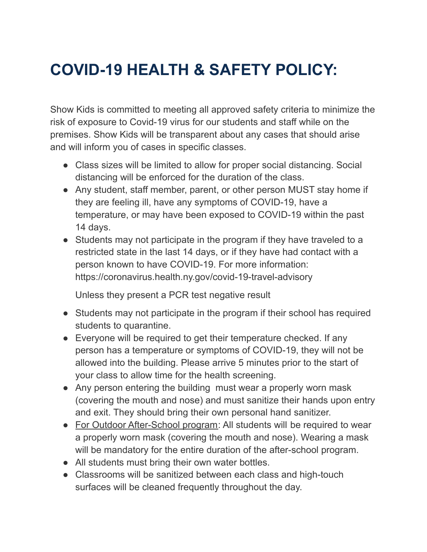## **COVID-19 HEALTH & SAFETY POLICY:**

Show Kids is committed to meeting all approved safety criteria to minimize the risk of exposure to Covid-19 virus for our students and staff while on the premises. Show Kids will be transparent about any cases that should arise and will inform you of cases in specific classes.

- Class sizes will be limited to allow for proper social distancing. Social distancing will be enforced for the duration of the class.
- Any student, staff member, parent, or other person MUST stay home if they are feeling ill, have any symptoms of COVID-19, have a temperature, or may have been exposed to COVID-19 within the past 14 days.
- Students may not participate in the program if they have traveled to a restricted state in the last 14 days, or if they have had contact with a person known to have COVID-19. For more information: https://coronavirus.health.ny.gov/covid-19-travel-advisory

Unless they present a PCR test negative result

- Students may not participate in the program if their school has required students to quarantine.
- Everyone will be required to get their temperature checked. If any person has a temperature or symptoms of COVID-19, they will not be allowed into the building. Please arrive 5 minutes prior to the start of your class to allow time for the health screening.
- Any person entering the building must wear a properly worn mask (covering the mouth and nose) and must sanitize their hands upon entry and exit. They should bring their own personal hand sanitizer.
- For Outdoor After-School program: All students will be required to wear a properly worn mask (covering the mouth and nose). Wearing a mask will be mandatory for the entire duration of the after-school program.
- All students must bring their own water bottles.
- Classrooms will be sanitized between each class and high-touch surfaces will be cleaned frequently throughout the day.